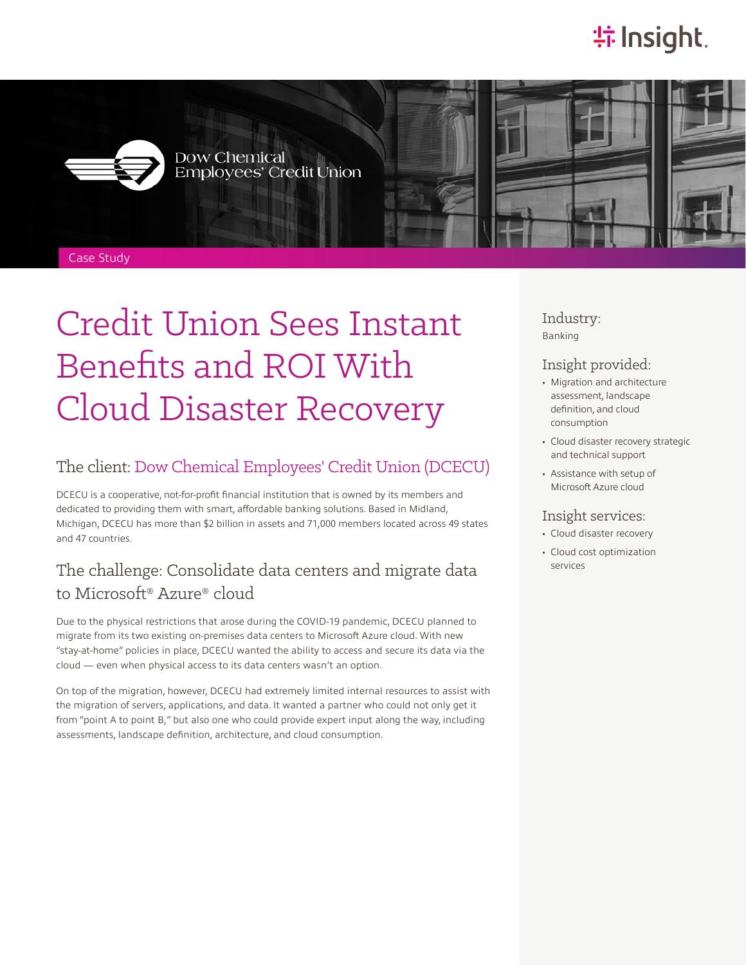# **特 Insight**.



Dow Chemical<br>Employees' Credit Union





Case Study

# Credit Union Sees Instant Benefits and ROI With Cloud Disaster Recovery

#### The client: [Dow Chemical Employees' Credit Union \(DCECU\)](https://www.dcecu.org/)

DCECU is a cooperative, not-for-profit financial institution that is owned by its members and dedicated to providing them with smart, affordable banking solutions. Based in Midland, Michigan, DCECU has more than \$2 billion in assets and 71,000 members located across 49 states and 47 countries.

### The challenge: Consolidate data centers and migrate data to Microsoft® Azure® cloud

Due to the physical restrictions that arose during the COVID-19 pandemic, DCECU planned to migrate from its two existing on-premises data centers to Microsoft Azure cloud. With new "stay-at-home" policies in place, DCECU wanted the ability to access and secure its data via the cloud — even when physical access to its data centers wasn't an option.

On top of the migration, however, DCECU had extremely limited internal resources to assist with the migration of servers, applications, and data. It wanted a partner who could not only get it from "point A to point B," but also one who could provide expert input along the way, including assessments, landscape definition, architecture, and cloud consumption.

Industry: Banking

#### Insight provided:

- Migration and architecture assessment, landscape definition, and cloud consumption
- Cloud disaster recovery strategic and technical support
- Assistance with setup of Microsoft Azure cloud

#### Insight services:

- Cloud disaster recovery
- Cloud cost optimization services